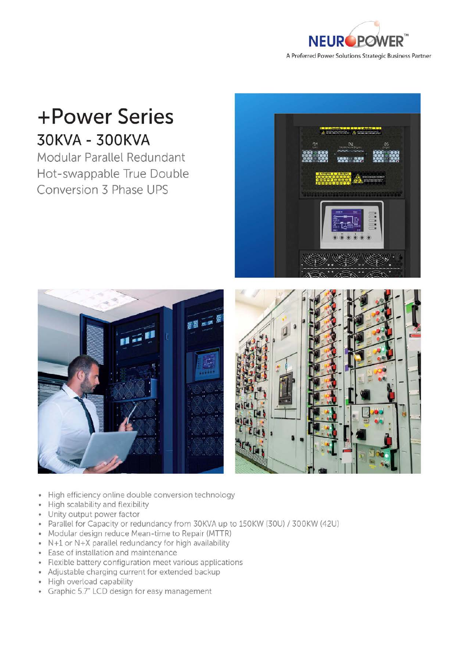

## +Power Series 30KVA - 300KVA

Modular Parallel Redundant Hot-swappable True Double Conversion 3 Phase UPS







- High efficiency online double conversion technology
- High scalability and flexibility i.
- Unity output power factor
- Parallel for Capacity or redundancy from 30KVA up to 150KW (30U) / 300KW (42U)
- Modular design reduce Mean-time to Repair (MTTR)
- $\bullet$  N+1 or N+X parallel redundancy for high availability
- Ease of installation and maintenance
- Flexible battery configuration meet various applications
- Adjustable charging current for extended backup
- High overload capability
- Graphic 5.7" LCD design for easy management